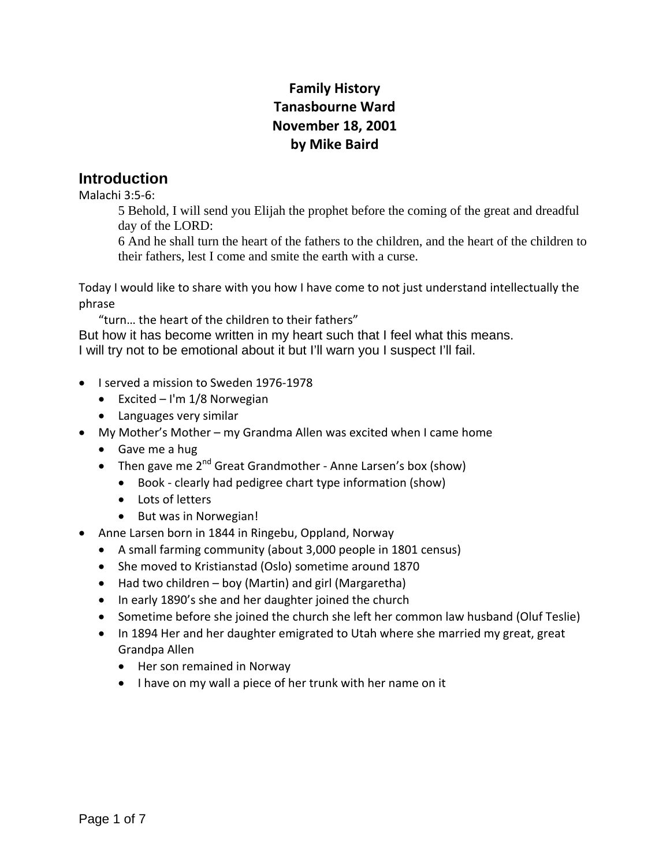# **Family History Tanasbourne Ward November 18, 2001 by Mike Baird**

#### **Introduction**

Malachi 3:5‐6:

5 Behold, I will send you Elijah the prophet before the coming of the great and dreadful day of the LORD:

6 And he shall turn the heart of the fathers to the children, and the heart of the children to their fathers, lest I come and smite the earth with a curse.

Today I would like to share with you how I have come to not just understand intellectually the phrase

"turn… the heart of the children to their fathers"

But how it has become written in my heart such that I feel what this means. I will try not to be emotional about it but I'll warn you I suspect I'll fail.

- I served a mission to Sweden 1976-1978
	- $\bullet$  Excited I'm 1/8 Norwegian
	- Languages very similar
- My Mother's Mother my Grandma Allen was excited when I came home
	- Gave me a hug
	- Then gave me  $2^{nd}$  Great Grandmother Anne Larsen's box (show)
		- Book clearly had pedigree chart type information (show)
		- Lots of letters
		- But was in Norwegian!
- Anne Larsen born in 1844 in Ringebu, Oppland, Norway
	- A small farming community (about 3,000 people in 1801 census)
	- She moved to Kristianstad (Oslo) sometime around 1870
	- Had two children boy (Martin) and girl (Margaretha)
	- In early 1890's she and her daughter joined the church
	- Sometime before she joined the church she left her common law husband (Oluf Teslie)
	- In 1894 Her and her daughter emigrated to Utah where she married my great, great Grandpa Allen
		- Her son remained in Norway
		- I have on my wall a piece of her trunk with her name on it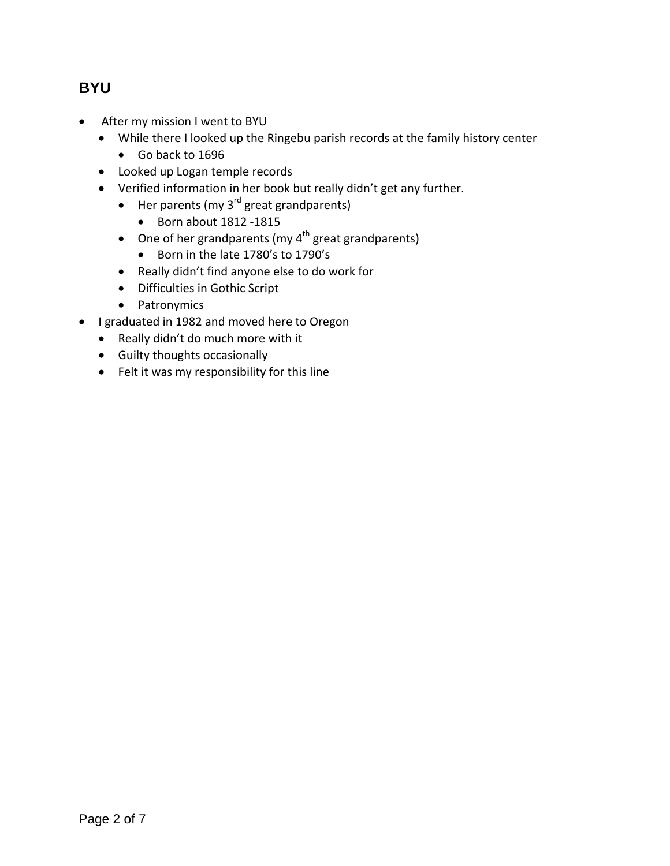## **BYU**

- After my mission I went to BYU
	- While there I looked up the Ringebu parish records at the family history center
		- Go back to 1696
	- Looked up Logan temple records
	- Verified information in her book but really didn't get any further.
		- $\bullet$  Her parents (my 3<sup>rd</sup> great grandparents)
			- Born about 1812 -1815
		- One of her grandparents (my  $4^{th}$  great grandparents)
			- Born in the late 1780's to 1790's
		- Really didn't find anyone else to do work for
		- Difficulties in Gothic Script
		- Patronymics
- I graduated in 1982 and moved here to Oregon
	- Really didn't do much more with it
	- Guilty thoughts occasionally
	- Felt it was my responsibility for this line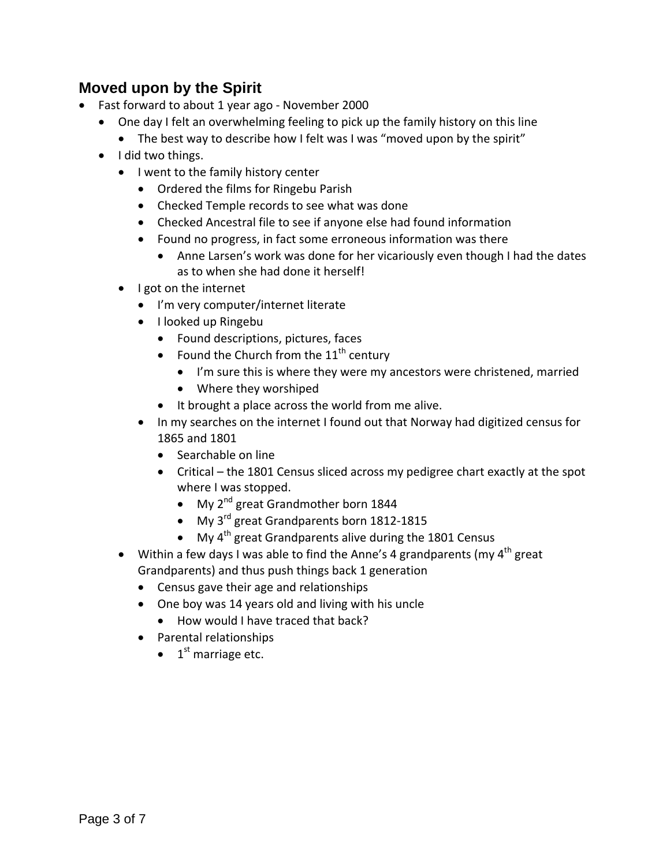## **Moved upon by the Spirit**

- Fast forward to about 1 year ago November 2000
	- One day I felt an overwhelming feeling to pick up the family history on this line
		- The best way to describe how I felt was I was "moved upon by the spirit"
	- I did two things.
		- I went to the family history center
			- Ordered the films for Ringebu Parish
			- Checked Temple records to see what was done
			- Checked Ancestral file to see if anyone else had found information
			- Found no progress, in fact some erroneous information was there
				- Anne Larsen's work was done for her vicariously even though I had the dates as to when she had done it herself!
		- I got on the internet
			- I'm very computer/internet literate
			- I looked up Ringebu
				- Found descriptions, pictures, faces
				- Found the Church from the  $11<sup>th</sup>$  century
					- I'm sure this is where they were my ancestors were christened, married
					- Where they worshiped
				- It brought a place across the world from me alive.
			- In my searches on the internet I found out that Norway had digitized census for 1865 and 1801
				- Searchable on line
				- Critical the 1801 Census sliced across my pedigree chart exactly at the spot where I was stopped.
					- $\bullet$  My 2<sup>nd</sup> great Grandmother born 1844
					- My 3<sup>rd</sup> great Grandparents born 1812-1815
					- My  $4<sup>th</sup>$  great Grandparents alive during the 1801 Census
		- Within a few days I was able to find the Anne's 4 grandparents (my  $4^{\text{th}}$  great Grandparents) and thus push things back 1 generation
			- Census gave their age and relationships
			- One boy was 14 years old and living with his uncle
				- How would I have traced that back?
			- Parental relationships
				- $\bullet$  1<sup>st</sup> marriage etc.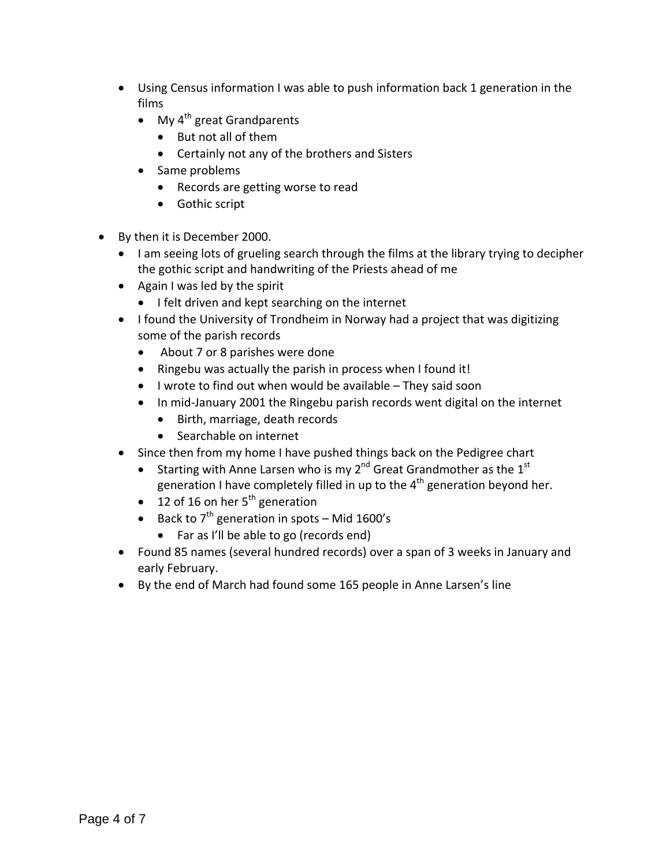- Using Census information I was able to push information back 1 generation in the films
	- $\bullet$  My 4<sup>th</sup> great Grandparents
		- But not all of them
		- Certainly not any of the brothers and Sisters
	- Same problems
		- Records are getting worse to read
		- Gothic script
- By then it is December 2000.
	- I am seeing lots of grueling search through the films at the library trying to decipher the gothic script and handwriting of the Priests ahead of me
	- Again I was led by the spirit
		- **I** felt driven and kept searching on the internet
	- I found the University of Trondheim in Norway had a project that was digitizing some of the parish records
		- About 7 or 8 parishes were done
		- Ringebu was actually the parish in process when I found it!
		- $\bullet$  I wrote to find out when would be available They said soon
		- In mid-January 2001 the Ringebu parish records went digital on the internet
			- Birth, marriage, death records
			- Searchable on internet
	- Since then from my home I have pushed things back on the Pedigree chart
		- Starting with Anne Larsen who is my 2<sup>nd</sup> Great Grandmother as the 1<sup>st</sup> generation I have completely filled in up to the  $4<sup>th</sup>$  generation beyond her.
		- $\bullet$  12 of 16 on her 5<sup>th</sup> generation
		- Back to  $7<sup>th</sup>$  generation in spots Mid 1600's
			- Far as I'll be able to go (records end)
	- Found 85 names (several hundred records) over a span of 3 weeks in January and early February.
	- By the end of March had found some 165 people in Anne Larsen's line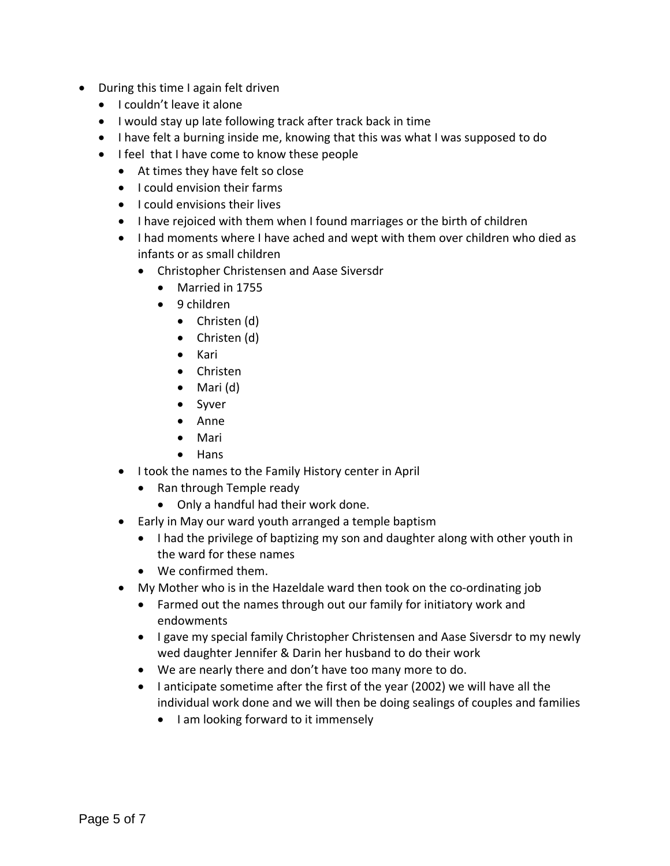- During this time I again felt driven
	- I couldn't leave it alone
	- I would stay up late following track after track back in time
	- I have felt a burning inside me, knowing that this was what I was supposed to do
	- I feel that I have come to know these people
		- At times they have felt so close
		- I could envision their farms
		- I could envisions their lives
		- I have rejoiced with them when I found marriages or the birth of children
		- I had moments where I have ached and wept with them over children who died as infants or as small children
			- Christopher Christensen and Aase Siversdr
				- Married in 1755
				- 9 children
					- Christen (d)
					- Christen (d)
					- Kari
					- Christen
					- $\bullet$  Mari (d)
					- Syver
					- Anne
					- Mari
					- Hans
		- I took the names to the Family History center in April
			- Ran through Temple ready
				- Only a handful had their work done.
		- Early in May our ward youth arranged a temple baptism
			- I had the privilege of baptizing my son and daughter along with other youth in the ward for these names
			- We confirmed them.
		- My Mother who is in the Hazeldale ward then took on the co-ordinating job
			- Farmed out the names through out our family for initiatory work and endowments
			- I gave my special family Christopher Christensen and Aase Siversdr to my newly wed daughter Jennifer & Darin her husband to do their work
			- We are nearly there and don't have too many more to do.
			- I anticipate sometime after the first of the year (2002) we will have all the individual work done and we will then be doing sealings of couples and families
				- I am looking forward to it immensely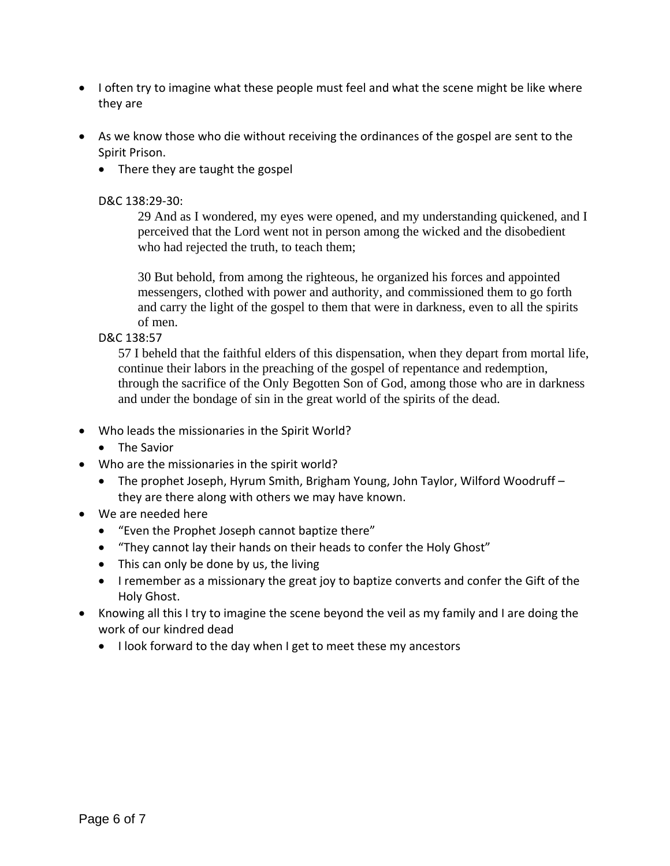- I often try to imagine what these people must feel and what the scene might be like where they are
- As we know those who die without receiving the ordinances of the gospel are sent to the Spirit Prison.
	- There they are taught the gospel

#### D&C 138:29‐30:

29 And as I wondered, my eyes were opened, and my understanding quickened, and I perceived that the Lord went not in person among the wicked and the disobedient who had rejected the truth, to teach them;

30 But behold, from among the righteous, he organized his forces and appointed messengers, clothed with power and authority, and commissioned them to go forth and carry the light of the gospel to them that were in darkness, even to all the spirits of men.

D&C 138:57

57 I beheld that the faithful elders of this dispensation, when they depart from mortal life, continue their labors in the preaching of the gospel of repentance and redemption, through the sacrifice of the Only Begotten Son of God, among those who are in darkness and under the bondage of sin in the great world of the spirits of the dead.

- Who leads the missionaries in the Spirit World?
	- The Savior
- Who are the missionaries in the spirit world?
	- The prophet Joseph, Hyrum Smith, Brigham Young, John Taylor, Wilford Woodruff they are there along with others we may have known.
- We are needed here
	- "Even the Prophet Joseph cannot baptize there"
	- "They cannot lay their hands on their heads to confer the Holy Ghost"
	- This can only be done by us, the living
	- I remember as a missionary the great joy to baptize converts and confer the Gift of the Holy Ghost.
- Knowing all this I try to imagine the scene beyond the veil as my family and I are doing the work of our kindred dead
	- I look forward to the day when I get to meet these my ancestors